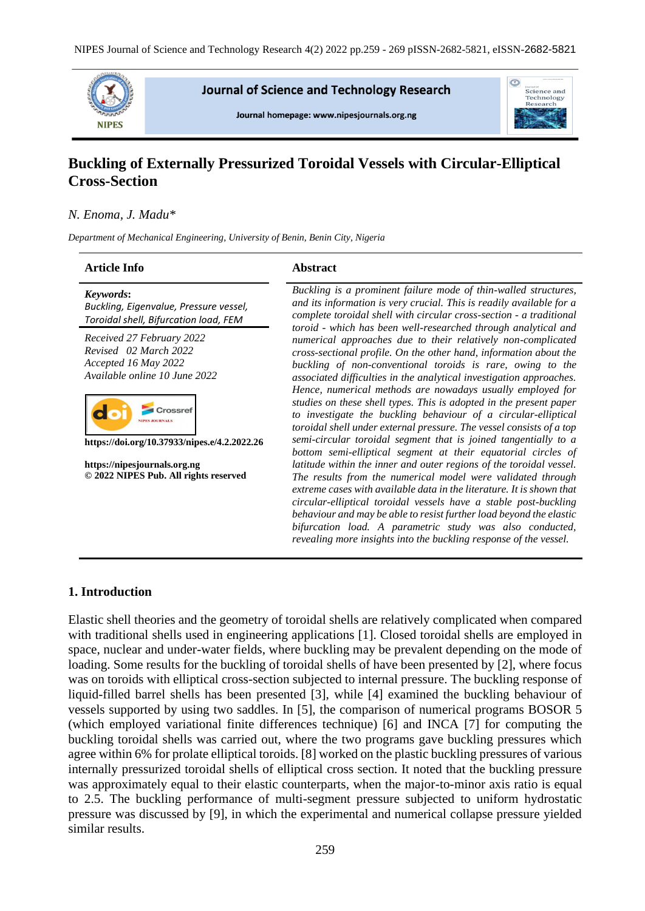

**Journal of Science and Technology Research** 

Journal homepage: www.nipesjournals.org.ng



# **Buckling of Externally Pressurized Toroidal Vessels with Circular-Elliptical Cross-Section**

### *N. Enoma, J. Madu\**

*Department of Mechanical Engineering, University of Benin, Benin City, Nigeria*

# **Article Info Abstract**

| Keywords:                              |  |
|----------------------------------------|--|
| Buckling, Eigenvalue, Pressure vessel, |  |
| Toroidal shell, Bifurcation load, FEM  |  |

*Received 27 February 2022 Revised 02 March 2022 Accepted 16 May 2022 Available online 10 June 2022*



**https://doi.org/10.37933/nipes.e/4.2.2022.26**

**https://nipesjournals.org.ng © 2022 NIPES Pub. All rights reserved** *Buckling is a prominent failure mode of thin-walled structures, and its information is very crucial. This is readily available for a complete toroidal shell with circular cross-section - a traditional toroid - which has been well-researched through analytical and numerical approaches due to their relatively non-complicated cross-sectional profile. On the other hand, information about the buckling of non-conventional toroids is rare, owing to the associated difficulties in the analytical investigation approaches. Hence, numerical methods are nowadays usually employed for studies on these shell types. This is adopted in the present paper to investigate the buckling behaviour of a circular-elliptical toroidal shell under external pressure. The vessel consists of a top semi-circular toroidal segment that is joined tangentially to a bottom semi-elliptical segment at their equatorial circles of latitude within the inner and outer regions of the toroidal vessel. The results from the numerical model were validated through extreme cases with available data in the literature. It is shown that circular-elliptical toroidal vessels have a stable post-buckling behaviour and may be able to resist further load beyond the elastic bifurcation load. A parametric study was also conducted, revealing more insights into the buckling response of the vessel.*

### **1. Introduction**

Elastic shell theories and the geometry of toroidal shells are relatively complicated when compared with traditional shells used in engineering applications [1]. Closed toroidal shells are employed in space, nuclear and under-water fields, where buckling may be prevalent depending on the mode of loading. Some results for the buckling of toroidal shells of have been presented by [2], where focus was on toroids with elliptical cross-section subjected to internal pressure. The buckling response of liquid-filled barrel shells has been presented [3], while [4] examined the buckling behaviour of vessels supported by using two saddles. In [5], the comparison of numerical programs BOSOR 5 (which employed variational finite differences technique) [6] and INCA [7] for computing the buckling toroidal shells was carried out, where the two programs gave buckling pressures which agree within 6% for prolate elliptical toroids. [8] worked on the plastic buckling pressures of various internally pressurized toroidal shells of elliptical cross section. It noted that the buckling pressure was approximately equal to their elastic counterparts, when the major-to-minor axis ratio is equal to 2.5. The buckling performance of multi-segment pressure subjected to uniform hydrostatic pressure was discussed by [9], in which the experimental and numerical collapse pressure yielded similar results.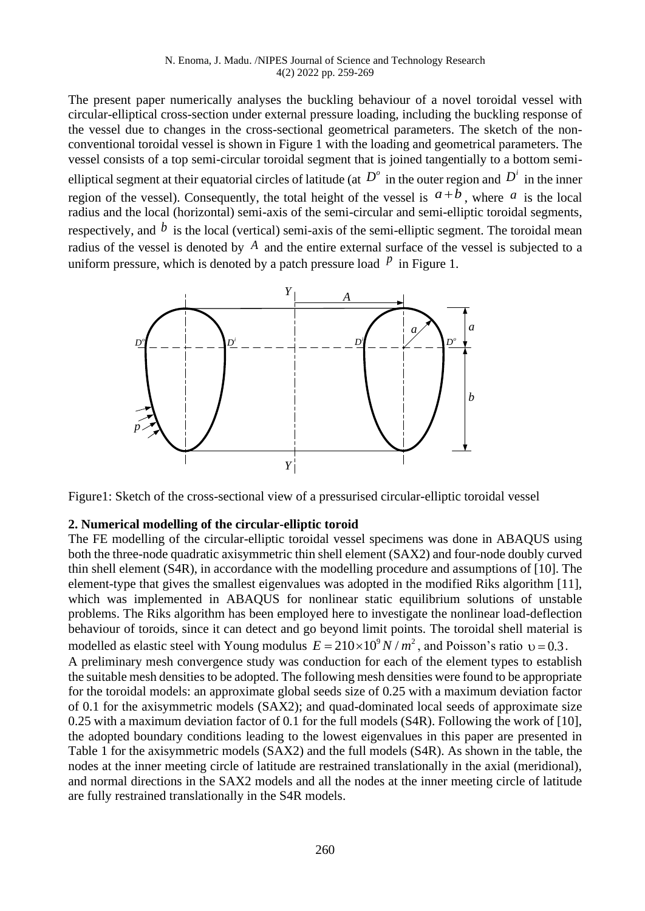The present paper numerically analyses the buckling behaviour of a novel toroidal vessel with circular-elliptical cross-section under external pressure loading, including the buckling response of the vessel due to changes in the cross-sectional geometrical parameters. The sketch of the nonconventional toroidal vessel is shown in Figure 1 with the loading and geometrical parameters. The vessel consists of a top semi-circular toroidal segment that is joined tangentially to a bottom semielliptical segment at their equatorial circles of latitude (at  $D^{\circ}$  in the outer region and  $D^{i}$  in the inner region of the vessel). Consequently, the total height of the vessel is  $a+b$ , where  $a$  is the local radius and the local (horizontal) semi-axis of the semi-circular and semi-elliptic toroidal segments, respectively, and  $\dot{b}$  is the local (vertical) semi-axis of the semi-elliptic segment. The toroidal mean radius of the vessel is denoted by  $A$  and the entire external surface of the vessel is subjected to a uniform pressure, which is denoted by a patch pressure load  $\hat{p}$  in Figure 1.



Figure1: Sketch of the cross-sectional view of a pressurised circular-elliptic toroidal vessel

### **2. Numerical modelling of the circular-elliptic toroid**

The FE modelling of the circular-elliptic toroidal vessel specimens was done in ABAQUS using both the three-node quadratic axisymmetric thin shell element (SAX2) and four-node doubly curved thin shell element (S4R), in accordance with the modelling procedure and assumptions of [10]. The element-type that gives the smallest eigenvalues was adopted in the modified Riks algorithm [11], which was implemented in ABAQUS for nonlinear static equilibrium solutions of unstable problems. The Riks algorithm has been employed here to investigate the nonlinear load-deflection behaviour of toroids, since it can detect and go beyond limit points. The toroidal shell material is modelled as elastic steel with Young modulus  $E = 210 \times 10^9 N/m^2$ , and Poisson's ratio  $v = 0.3$ . A preliminary mesh convergence study was conduction for each of the element types to establish the suitable mesh densities to be adopted. The following mesh densities were found to be appropriate for the toroidal models: an approximate global seeds size of 0.25 with a maximum deviation factor of 0.1 for the axisymmetric models (SAX2); and quad-dominated local seeds of approximate size 0.25 with a maximum deviation factor of 0.1 for the full models (S4R). Following the work of [10], the adopted boundary conditions leading to the lowest eigenvalues in this paper are presented in Table 1 for the axisymmetric models (SAX2) and the full models (S4R). As shown in the table, the nodes at the inner meeting circle of latitude are restrained translationally in the axial (meridional), and normal directions in the SAX2 models and all the nodes at the inner meeting circle of latitude are fully restrained translationally in the S4R models.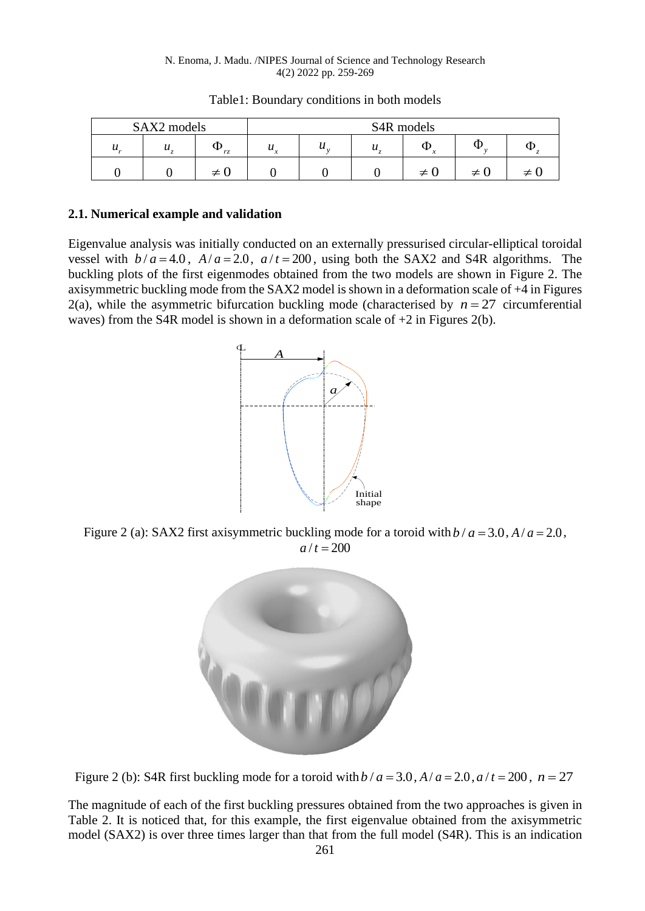#### N. Enoma, J. Madu. /NIPES Journal of Science and Technology Research 4(2) 2022 pp. 259-269

| SAX2 models      |                            |    | S <sub>4</sub> R models    |   |   |   |   |  |
|------------------|----------------------------|----|----------------------------|---|---|---|---|--|
| $\boldsymbol{u}$ | $\boldsymbol{\mathcal{U}}$ | rz | $\boldsymbol{\mathcal{U}}$ | v | u | Φ | w |  |
|                  |                            |    |                            |   |   | ≠ | ≠ |  |

Table1: Boundary conditions in both models

### **2.1. Numerical example and validation**

Eigenvalue analysis was initially conducted on an externally pressurised circular-elliptical toroidal vessel with  $b/a = 4.0$ ,  $A/a = 2.0$ ,  $a/t = 200$ , using both the SAX2 and S4R algorithms. The buckling plots of the first eigenmodes obtained from the two models are shown in Figure 2. The axisymmetric buckling mode from the SAX2 model is shown in a deformation scale of +4 in Figures 2(a), while the asymmetric bifurcation buckling mode (characterised by  $n = 27$  circumferential waves) from the S4R model is shown in a deformation scale of  $+2$  in Figures 2(b).



Figure 2 (a): SAX2 first axisymmetric buckling mode for a toroid with  $b/a = 3.0$ ,  $A/a = 2.0$ ,  $a/t = 200$ 



Figure 2 (b): S4R first buckling mode for a toroid with  $b/a = 3.0$ ,  $A/a = 2.0$ ,  $a/t = 200$ ,  $n = 27$ 

The magnitude of each of the first buckling pressures obtained from the two approaches is given in Table 2. It is noticed that, for this example, the first eigenvalue obtained from the axisymmetric model (SAX2) is over three times larger than that from the full model (S4R). This is an indication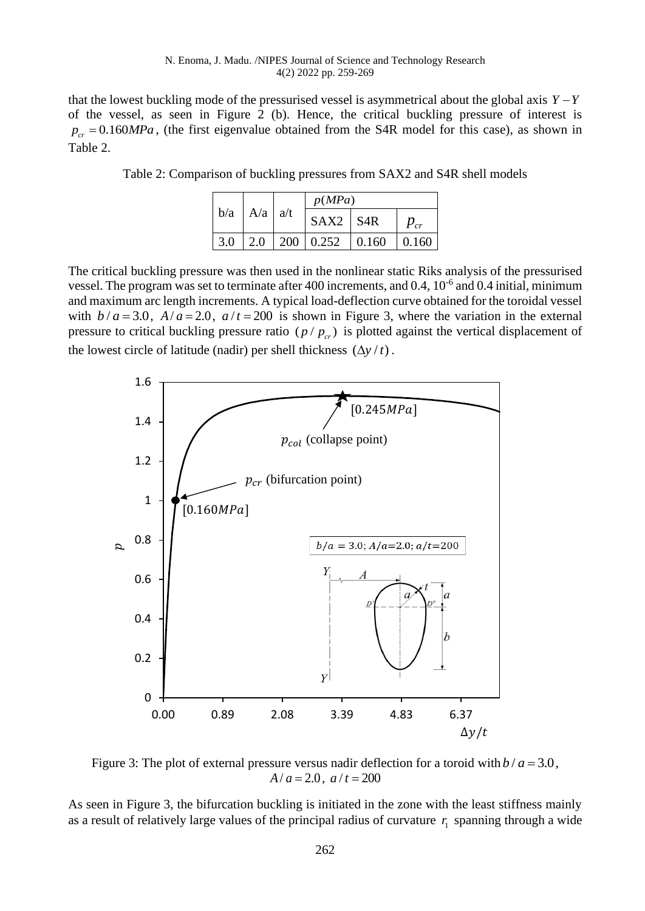#### N. Enoma, J. Madu. /NIPES Journal of Science and Technology Research 4(2) 2022 pp. 259-269

that the lowest buckling mode of the pressurised vessel is asymmetrical about the global axis  $Y - Y$ of the vessel, as seen in Figure 2 (b). Hence, the critical buckling pressure of interest is  $p_{cr} = 0.160 MPa$ , (the first eigenvalue obtained from the S4R model for this case), as shown in Table 2.

|                   | p(MPa)                                    |  |          |
|-------------------|-------------------------------------------|--|----------|
| $b/a$   A/a   a/t | $SAX2$ S <sub>4R</sub>                    |  | $P_{cr}$ |
|                   | $3.0$   2.0   200   0.252   0.160   0.160 |  |          |

Table 2: Comparison of buckling pressures from SAX2 and S4R shell models

The critical buckling pressure was then used in the nonlinear static Riks analysis of the pressurised vessel. The program was set to terminate after 400 increments, and 0.4, 10<sup>-6</sup> and 0.4 initial, minimum and maximum arc length increments. A typical load-deflection curve obtained for the toroidal vessel with  $b/a = 3.0$ ,  $A/a = 2.0$ ,  $a/t = 200$  is shown in Figure 3, where the variation in the external pressure to critical buckling pressure ratio  $(p / p_{cr})$  is plotted against the vertical displacement of the lowest circle of latitude (nadir) per shell thickness  $(\Delta y / t)$ .



Figure 3: The plot of external pressure versus nadir deflection for a toroid with  $b/a = 3.0$ ,  $A/a = 2.0$ ,  $a/t = 200$ 

As seen in Figure 3, the bifurcation buckling is initiated in the zone with the least stiffness mainly as a result of relatively large values of the principal radius of curvature  $r_1$  spanning through a wide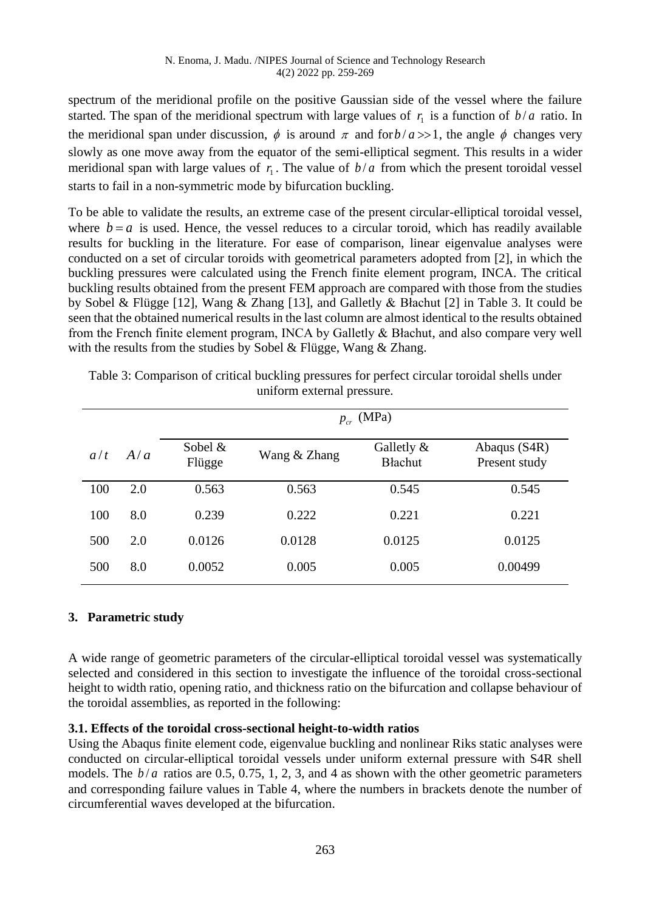spectrum of the meridional profile on the positive Gaussian side of the vessel where the failure started. The span of the meridional spectrum with large values of  $r<sub>1</sub>$  is a function of  $b/a$  ratio. In the meridional span under discussion,  $\phi$  is around  $\pi$  and for  $b/a \gg 1$ , the angle  $\phi$  changes very slowly as one move away from the equator of the semi-elliptical segment. This results in a wider meridional span with large values of  $r_1$ . The value of  $b/a$  from which the present toroidal vessel starts to fail in a non-symmetric mode by bifurcation buckling.

To be able to validate the results, an extreme case of the present circular-elliptical toroidal vessel, where  $b = a$  is used. Hence, the vessel reduces to a circular toroid, which has readily available results for buckling in the literature. For ease of comparison, linear eigenvalue analyses were conducted on a set of circular toroids with geometrical parameters adopted from [2], in which the buckling pressures were calculated using the French finite element program, INCA. The critical buckling results obtained from the present FEM approach are compared with those from the studies by Sobel & Flügge [12], Wang & Zhang [13], and Galletly & Błachut [2] in Table 3. It could be seen that the obtained numerical results in the last column are almost identical to the results obtained from the French finite element program, INCA by Galletly & Błachut, and also compare very well with the results from the studies by Sobel & Flügge, Wang & Zhang.

|     |     | $p_{cr}$ (MPa)    |              |                                 |                               |  |  |  |
|-----|-----|-------------------|--------------|---------------------------------|-------------------------------|--|--|--|
| a/t | A/a | Sobel &<br>Flügge | Wang & Zhang | Galletly $\&$<br><b>Blachut</b> | Abaqus (S4R)<br>Present study |  |  |  |
| 100 | 2.0 | 0.563             | 0.563        | 0.545                           | 0.545                         |  |  |  |
| 100 | 8.0 | 0.239             | 0.222        | 0.221                           | 0.221                         |  |  |  |
| 500 | 2.0 | 0.0126            | 0.0128       | 0.0125                          | 0.0125                        |  |  |  |
| 500 | 8.0 | 0.0052            | 0.005        | 0.005                           | 0.00499                       |  |  |  |

Table 3: Comparison of critical buckling pressures for perfect circular toroidal shells under uniform external pressure.

# **3. Parametric study**

A wide range of geometric parameters of the circular-elliptical toroidal vessel was systematically selected and considered in this section to investigate the influence of the toroidal cross-sectional height to width ratio, opening ratio, and thickness ratio on the bifurcation and collapse behaviour of the toroidal assemblies, as reported in the following:

# **3.1. Effects of the toroidal cross-sectional height-to-width ratios**

Using the Abaqus finite element code, eigenvalue buckling and nonlinear Riks static analyses were conducted on circular-elliptical toroidal vessels under uniform external pressure with S4R shell models. The  $b/a$  ratios are 0.5, 0.75, 1, 2, 3, and 4 as shown with the other geometric parameters and corresponding failure values in Table 4, where the numbers in brackets denote the number of circumferential waves developed at the bifurcation.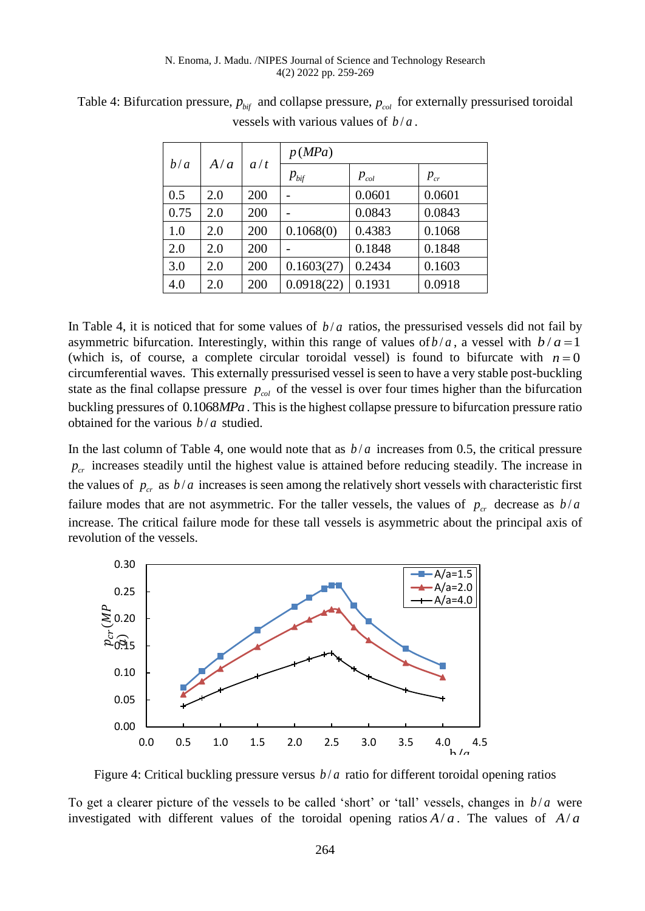|      |     |     | p(MPa)        |           |          |
|------|-----|-----|---------------|-----------|----------|
| b/a  | A/a | a/t | $p_{\rm bif}$ | $p_{col}$ | $p_{cr}$ |
| 0.5  | 2.0 | 200 |               | 0.0601    | 0.0601   |
| 0.75 | 2.0 | 200 |               | 0.0843    | 0.0843   |
| 1.0  | 2.0 | 200 | 0.1068(0)     | 0.4383    | 0.1068   |
| 2.0  | 2.0 | 200 |               | 0.1848    | 0.1848   |
| 3.0  | 2.0 | 200 | 0.1603(27)    | 0.2434    | 0.1603   |
| 4.0  | 2.0 | 200 | 0.0918(22)    | 0.1931    | 0.0918   |

Table 4: Bifurcation pressure,  $p_{\text{bif}}$  and collapse pressure,  $p_{\text{col}}$  for externally pressurised toroidal vessels with various values of  $b/a$ .

In Table 4, it is noticed that for some values of  $b/a$  ratios, the pressurised vessels did not fail by asymmetric bifurcation. Interestingly, within this range of values of  $b/a$ , a vessel with  $b/a = 1$ (which is, of course, a complete circular toroidal vessel) is found to bifurcate with  $n = 0$ circumferential waves. This externally pressurised vessel is seen to have a very stable post-buckling state as the final collapse pressure  $p_{col}$  of the vessel is over four times higher than the bifurcation buckling pressures of 0.1068*MPa* . This is the highest collapse pressure to bifurcation pressure ratio obtained for the various  $b/a$  studied.

In the last column of Table 4, one would note that as  $b/a$  increases from 0.5, the critical pressure  $p_{cr}$  increases steadily until the highest value is attained before reducing steadily. The increase in the values of  $p_{cr}$  as  $b/a$  increases is seen among the relatively short vessels with characteristic first failure modes that are not asymmetric. For the taller vessels, the values of  $p_{cr}$  decrease as  $b/a$ increase. The critical failure mode for these tall vessels is asymmetric about the principal axis of revolution of the vessels.



Figure 4: Critical buckling pressure versus  $b/a$  ratio for different toroidal opening ratios

To get a clearer picture of the vessels to be called 'short' or 'tall' vessels, changes in  $b/a$  were investigated with different values of the toroidal opening ratios  $A/a$ . The values of  $A/a$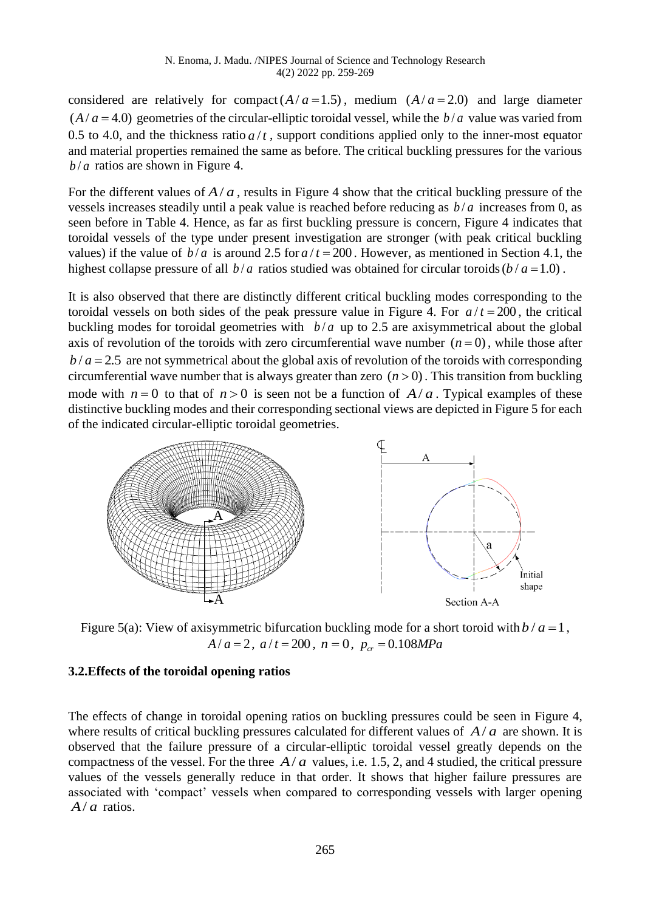considered are relatively for compact  $(A/a = 1.5)$ , medium  $(A/a = 2.0)$  and large diameter  $(A/a = 4.0)$  geometries of the circular-elliptic toroidal vessel, while the  $b/a$  value was varied from 0.5 to 4.0, and the thickness ratio  $a/t$ , support conditions applied only to the inner-most equator and material properties remained the same as before. The critical buckling pressures for the various  $b/a$  ratios are shown in Figure 4.

For the different values of  $A/a$ , results in Figure 4 show that the critical buckling pressure of the vessels increases steadily until a peak value is reached before reducing as  $b/a$  increases from 0, as seen before in Table 4. Hence, as far as first buckling pressure is concern, Figure 4 indicates that toroidal vessels of the type under present investigation are stronger (with peak critical buckling values) if the value of  $b/a$  is around 2.5 for  $a/t = 200$ . However, as mentioned in Section 4.1, the highest collapse pressure of all  $b/a$  ratios studied was obtained for circular toroids  $(b/a = 1.0)$ .

It is also observed that there are distinctly different critical buckling modes corresponding to the toroidal vessels on both sides of the peak pressure value in Figure 4. For  $a/t = 200$ , the critical buckling modes for toroidal geometries with  $b/a$  up to 2.5 are axisymmetrical about the global axis of revolution of the toroids with zero circumferential wave number  $(n=0)$ , while those after  $b/a = 2.5$  are not symmetrical about the global axis of revolution of the toroids with corresponding circumferential wave number that is always greater than zero  $(n > 0)$ . This transition from buckling mode with  $n = 0$  to that of  $n > 0$  is seen not be a function of  $A/a$ . Typical examples of these distinctive buckling modes and their corresponding sectional views are depicted in Figure 5 for each of the indicated circular-elliptic toroidal geometries.



Figure 5(a): View of axisymmetric bifurcation buckling mode for a short toroid with  $b/a = 1$ ,  $A/a = 2$ ,  $a/t = 200$ ,  $n = 0$ ,  $p_{cr} = 0.108 MPa$ 

### **3.2.Effects of the toroidal opening ratios**

The effects of change in toroidal opening ratios on buckling pressures could be seen in Figure 4, where results of critical buckling pressures calculated for different values of  $A/a$  are shown. It is observed that the failure pressure of a circular-elliptic toroidal vessel greatly depends on the compactness of the vessel. For the three  $A/a$  values, i.e. 1.5, 2, and 4 studied, the critical pressure values of the vessels generally reduce in that order. It shows that higher failure pressures are associated with 'compact' vessels when compared to corresponding vessels with larger opening  $A/a$  ratios.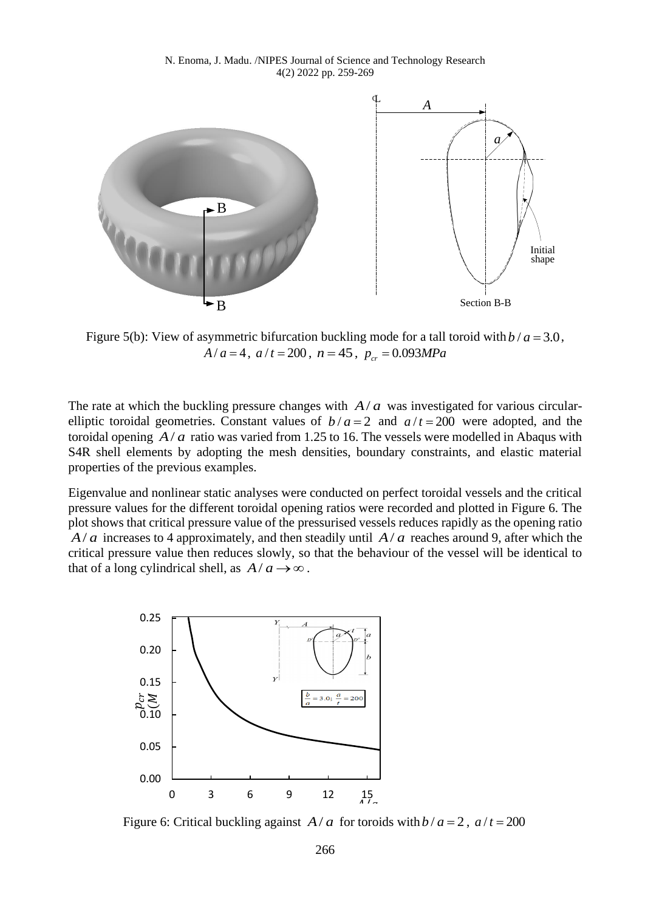

Figure 5(b): View of asymmetric bifurcation buckling mode for a tall toroid with  $b/a = 3.0$ ,  $A/a = 4$ ,  $a/t = 200$ ,  $n = 45$ ,  $p_{cr} = 0.093 MPa$ 

The rate at which the buckling pressure changes with  $A/a$  was investigated for various circularelliptic toroidal geometries. Constant values of  $b/a = 2$  and  $a/t = 200$  were adopted, and the toroidal opening  $A/a$  ratio was varied from 1.25 to 16. The vessels were modelled in Abaqus with S4R shell elements by adopting the mesh densities, boundary constraints, and elastic material properties of the previous examples.

Eigenvalue and nonlinear static analyses were conducted on perfect toroidal vessels and the critical pressure values for the different toroidal opening ratios were recorded and plotted in Figure 6. The plot shows that critical pressure value of the pressurised vessels reduces rapidly as the opening ratio  $A/a$  increases to 4 approximately, and then steadily until  $A/a$  reaches around 9, after which the critical pressure value then reduces slowly, so that the behaviour of the vessel will be identical to that of a long cylindrical shell, as  $A/a \rightarrow \infty$ .



Figure 6: Critical buckling against  $A/a$  for toroids with  $b/a = 2$ ,  $a/t = 200$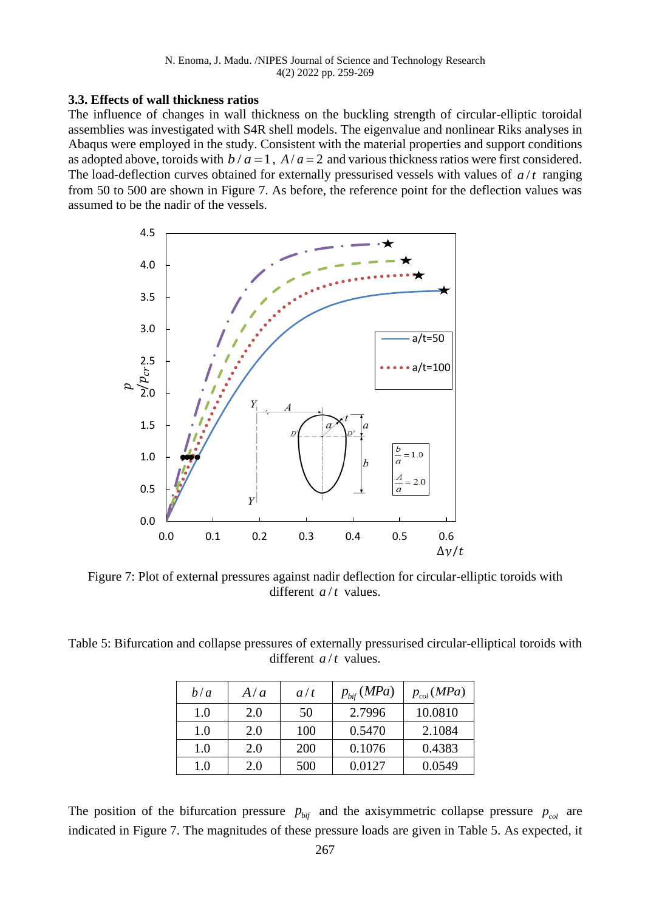### **3.3. Effects of wall thickness ratios**

The influence of changes in wall thickness on the buckling strength of circular-elliptic toroidal assemblies was investigated with S4R shell models. The eigenvalue and nonlinear Riks analyses in Abaqus were employed in the study. Consistent with the material properties and support conditions as adopted above, toroids with  $b/a = 1$ ,  $A/a = 2$  and various thickness ratios were first considered. The load-deflection curves obtained for externally pressurised vessels with values of  $a/t$  ranging from 50 to 500 are shown in Figure 7. As before, the reference point for the deflection values was assumed to be the nadir of the vessels.



Figure 7: Plot of external pressures against nadir deflection for circular-elliptic toroids with different  $a/t$  values.

Table 5: Bifurcation and collapse pressures of externally pressurised circular-elliptical toroids with different  $a/t$  values.

| b/a     | A/a | a/t        | $p_{\text{bif}}(MPa)$ | $p_{col}(MPa)$ |
|---------|-----|------------|-----------------------|----------------|
| 1.0     | 2.0 | 50         | 2.7996                | 10.0810        |
| 1.0     | 2.0 | 100        | 0.5470                | 2.1084         |
| 1.0     | 2.0 | <b>200</b> | 0.1076                | 0.4383         |
| $1.0\,$ | 2.0 | 500        | 0.0127                | 0.0549         |

The position of the bifurcation pressure  $p_{\text{bif}}$  and the axisymmetric collapse pressure  $p_{\text{col}}$  are indicated in Figure 7. The magnitudes of these pressure loads are given in Table 5. As expected, it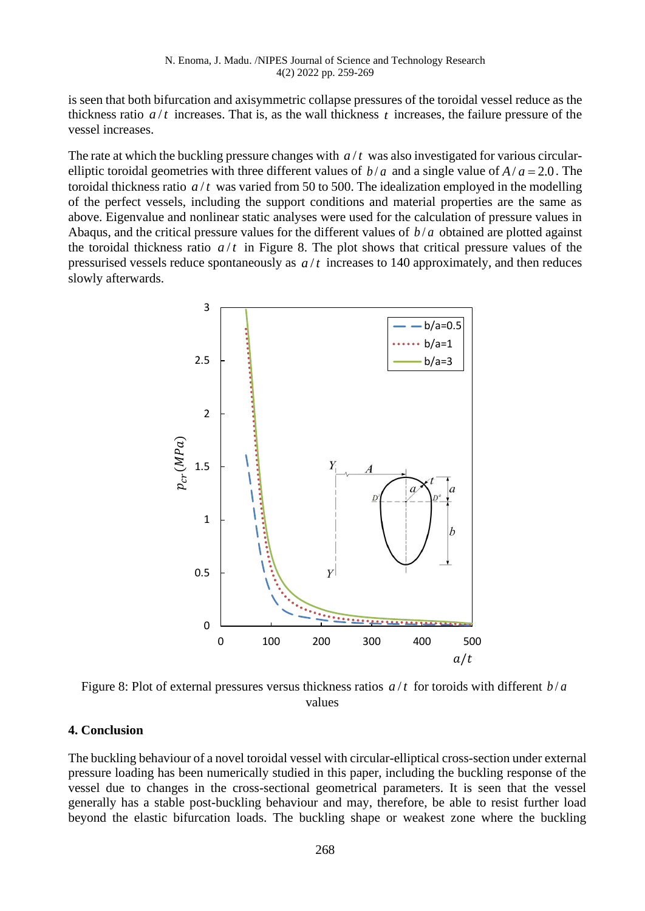is seen that both bifurcation and axisymmetric collapse pressures of the toroidal vessel reduce as the thickness ratio  $a/t$  increases. That is, as the wall thickness  $t$  increases, the failure pressure of the vessel increases.

The rate at which the buckling pressure changes with  $a/t$  was also investigated for various circularelliptic toroidal geometries with three different values of  $b/a$  and a single value of  $A/a = 2.0$ . The toroidal thickness ratio  $a/t$  was varied from 50 to 500. The idealization employed in the modelling of the perfect vessels, including the support conditions and material properties are the same as above. Eigenvalue and nonlinear static analyses were used for the calculation of pressure values in Abaqus, and the critical pressure values for the different values of  $b/a$  obtained are plotted against the toroidal thickness ratio  $a/t$  in Figure 8. The plot shows that critical pressure values of the pressurised vessels reduce spontaneously as  $a/t$  increases to 140 approximately, and then reduces slowly afterwards.



Figure 8: Plot of external pressures versus thickness ratios  $a/t$  for toroids with different  $b/a$ values

### **4. Conclusion**

The buckling behaviour of a novel toroidal vessel with circular-elliptical cross-section under external pressure loading has been numerically studied in this paper, including the buckling response of the vessel due to changes in the cross-sectional geometrical parameters. It is seen that the vessel generally has a stable post-buckling behaviour and may, therefore, be able to resist further load beyond the elastic bifurcation loads. The buckling shape or weakest zone where the buckling